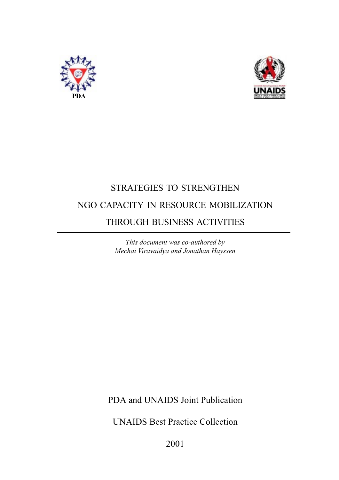



### STRATEGIES TO STRENGTHEN NGO CAPACITY IN RESOURCE MOBILIZATION THROUGH BUSINESS ACTIVITIES

This document was co-authored by Mechai Viravaidya and Jonathan Hayssen

PDA and UNAIDS Joint Publication

UNAIDS Best Practice Collection

2001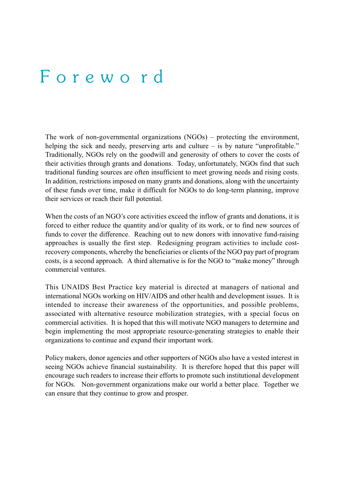### F o r e w o r d

The work of non-governmental organizations  $(NGOs)$  – protecting the environment, helping the sick and needy, preserving arts and culture  $-$  is by nature "unprofitable." Traditionally, NGOs rely on the goodwill and generosity of others to cover the costs of their activities through grants and donations. Today, unfortunately, NGOs find that such traditional funding sources are often insufficient to meet growing needs and rising costs. In addition, restrictions imposed on many grants and donations, along with the uncertainty of these funds over time, make it difficult for NGOs to do long-term planning, improve their services or reach their full potential.

When the costs of an NGO's core activities exceed the inflow of grants and donations, it is forced to either reduce the quantity and/or quality of its work, or to find new sources of funds to cover the difference. Reaching out to new donors with innovative fund-raising approaches is usually the first step. Redesigning program activities to include costrecovery components, whereby the beneficiaries or clients of the NGO pay part of program costs, is a second approach. A third alternative is for the NGO to "make money" through commercial ventures.

This UNAIDS Best Practice key material is directed at managers of national and international NGOs working on HIV/AIDS and other health and development issues. It is intended to increase their awareness of the opportunities, and possible problems, associated with alternative resource mobilization strategies, with a special focus on commercial activities. It is hoped that this will motivate NGO managers to determine and begin implementing the most appropriate resource-generating strategies to enable their organizations to continue and expand their important work.

Policy makers, donor agencies and other supporters of NGOs also have a vested interest in seeing NGOs achieve financial sustainability. It is therefore hoped that this paper will encourage such readers to increase their efforts to promote such institutional development for NGOs. Non-government organizations make our world a better place. Together we can ensure that they continue to grow and prosper.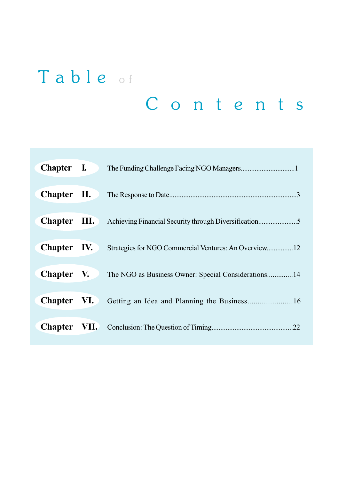# Table of C o n t e n t s

| Chapter I.  |                                                       |
|-------------|-------------------------------------------------------|
| Chapter II. |                                                       |
|             |                                                       |
| Chapter IV. | Strategies for NGO Commercial Ventures: An Overview12 |
| Chapter V.  | The NGO as Business Owner: Special Considerations14   |
| Chapter VI. |                                                       |
|             | .22                                                   |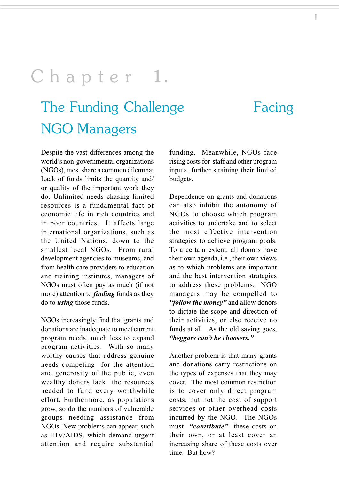## Chapter 1.

## The Funding Challenge Facing NGO Managers

Despite the vast differences among the world's non-governmental organizations (NGOs), most share a common dilemma: Lack of funds limits the quantity and/ or quality of the important work they do. Unlimited needs chasing limited resources is a fundamental fact of economic life in rich countries and in poor countries. It affects large international organizations, such as the United Nations, down to the smallest local NGOs. From rural development agencies to museums, and from health care providers to education and training institutes, managers of NGOs must often pay as much (if not more) attention to *finding* funds as they do to using those funds.

NGOs increasingly find that grants and donations are inadequate to meet current program needs, much less to expand program activities. With so many worthy causes that address genuine needs competing for the attention and generosity of the public, even wealthy donors lack the resources needed to fund every worthwhile effort. Furthermore, as populations grow, so do the numbers of vulnerable groups needing assistance from NGOs. New problems can appear, such as HIV/AIDS, which demand urgent attention and require substantial

funding. Meanwhile, NGOs face rising costs for staff and other program inputs, further straining their limited budgets.

Dependence on grants and donations can also inhibit the autonomy of NGOs to choose which program activities to undertake and to select the most effective intervention strategies to achieve program goals. To a certain extent, all donors have their own agenda, i.e., their own views as to which problems are important and the best intervention strategies to address these problems. NGO managers may be compelled to "follow the money" and allow donors to dictate the scope and direction of their activities, or else receive no funds at all. As the old saying goes, "beggars can't be choosers."

Another problem is that many grants and donations carry restrictions on the types of expenses that they may cover. The most common restriction is to cover only direct program costs, but not the cost of support services or other overhead costs incurred by the NGO. The NGOs must "contribute" these costs on their own, or at least cover an increasing share of these costs over time. But how?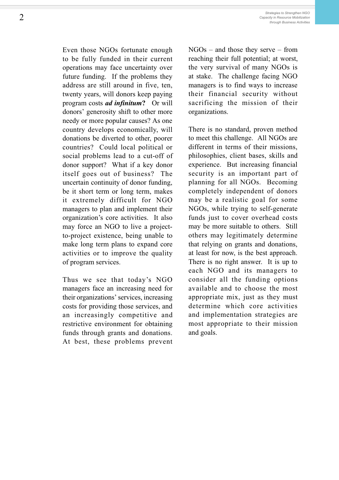Even those NGOs fortunate enough to be fully funded in their current operations may face uncertainty over future funding. If the problems they address are still around in five, ten, twenty years, will donors keep paying program costs ad infinitum? Or will donors' generosity shift to other more needy or more popular causes? As one country develops economically, will donations be diverted to other, poorer countries? Could local political or social problems lead to a cut-off of donor support? What if a key donor itself goes out of business? The uncertain continuity of donor funding, be it short term or long term, makes it extremely difficult for NGO managers to plan and implement their organization's core activities. It also may force an NGO to live a projectto-project existence, being unable to make long term plans to expand core activities or to improve the quality of program services.

Thus we see that today's NGO managers face an increasing need for their organizations' services, increasing costs for providing those services, and an increasingly competitive and restrictive environment for obtaining funds through grants and donations. At best, these problems prevent  $NGOs - and those they serve - from$ reaching their full potential; at worst, the very survival of many NGOs is at stake. The challenge facing NGO managers is to find ways to increase their financial security without sacrificing the mission of their organizations.

There is no standard, proven method to meet this challenge. All NGOs are different in terms of their missions, philosophies, client bases, skills and experience. But increasing financial security is an important part of planning for all NGOs. Becoming completely independent of donors may be a realistic goal for some NGOs, while trying to self-generate funds just to cover overhead costs may be more suitable to others. Still others may legitimately determine that relying on grants and donations, at least for now, is the best approach. There is no right answer. It is up to each NGO and its managers to consider all the funding options available and to choose the most appropriate mix, just as they must determine which core activities and implementation strategies are most appropriate to their mission and goals.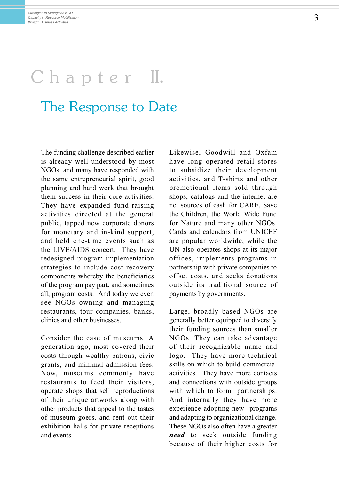# Chapter II.

### The Response to Date

The funding challenge described earlier is already well understood by most NGOs, and many have responded with the same entrepreneurial spirit, good planning and hard work that brought them success in their core activities. They have expanded fund-raising activities directed at the general public, tapped new corporate donors for monetary and in-kind support, and held one-time events such as the LIVE/AIDS concert. They have redesigned program implementation strategies to include cost-recovery components whereby the beneficiaries of the program pay part, and sometimes all, program costs. And today we even see NGOs owning and managing restaurants, tour companies, banks, clinics and other businesses.

Consider the case of museums. A generation ago, most covered their costs through wealthy patrons, civic grants, and minimal admission fees. Now, museums commonly have restaurants to feed their visitors, operate shops that sell reproductions of their unique artworks along with other products that appeal to the tastes of museum goers, and rent out their exhibition halls for private receptions and events.

Likewise, Goodwill and Oxfam have long operated retail stores to subsidize their development activities, and T-shirts and other promotional items sold through shops, catalogs and the internet are net sources of cash for CARE, Save the Children, the World Wide Fund for Nature and many other NGOs. Cards and calendars from UNICEF are popular worldwide, while the UN also operates shops at its major offices, implements programs in partnership with private companies to offset costs, and seeks donations outside its traditional source of payments by governments.

Large, broadly based NGOs are generally better equipped to diversify their funding sources than smaller NGOs. They can take advantage of their recognizable name and logo. They have more technical skills on which to build commercial activities. They have more contacts and connections with outside groups with which to form partnerships. And internally they have more experience adopting new programs and adapting to organizational change. These NGOs also often have a greater need to seek outside funding because of their higher costs for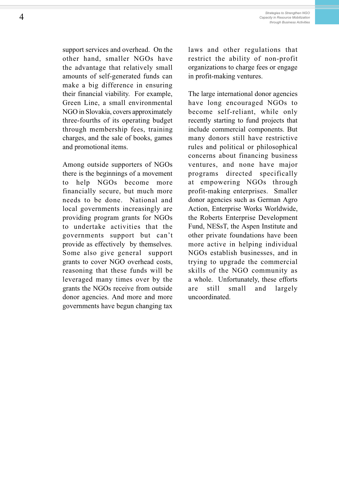support services and overhead. On the other hand, smaller NGOs have the advantage that relatively small amounts of self-generated funds can make a big difference in ensuring their financial viability. For example, Green Line, a small environmental NGO in Slovakia, covers approximately three-fourths of its operating budget through membership fees, training charges, and the sale of books, games and promotional items.

Among outside supporters of NGOs there is the beginnings of a movement to help NGOs become more financially secure, but much more needs to be done. National and local governments increasingly are providing program grants for NGOs to undertake activities that the governments support but can't provide as effectively by themselves. Some also give general support grants to cover NGO overhead costs, reasoning that these funds will be leveraged many times over by the grants the NGOs receive from outside donor agencies. And more and more governments have begun changing tax

laws and other regulations that restrict the ability of non-profit organizations to charge fees or engage in profit-making ventures.

The large international donor agencies have long encouraged NGOs to become self-reliant, while only recently starting to fund projects that include commercial components. But many donors still have restrictive rules and political or philosophical concerns about financing business ventures, and none have major programs directed specifically at empowering NGOs through profit-making enterprises. Smaller donor agencies such as German Agro Action, Enterprise Works Worldwide, the Roberts Enterprise Development Fund, NESsT, the Aspen Institute and other private foundations have been more active in helping individual NGOs establish businesses, and in trying to upgrade the commercial skills of the NGO community as a whole. Unfortunately, these efforts are still small and largely uncoordinated.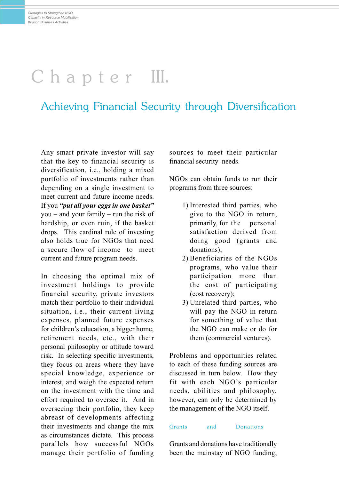## Chapter III.

### Achieving Financial Security through Diversification

Any smart private investor will say that the key to financial security is diversification, i.e., holding a mixed portfolio of investments rather than depending on a single investment to meet current and future income needs. If you "put all your eggs in one basket" you – and your family – run the risk of hardship, or even ruin, if the basket drops. This cardinal rule of investing also holds true for NGOs that need a secure flow of income to meet current and future program needs.

In choosing the optimal mix of investment holdings to provide financial security, private investors match their portfolio to their individual situation, i.e., their current living expenses, planned future expenses for children's education, a bigger home, retirement needs, etc., with their personal philosophy or attitude toward risk. In selecting specific investments, they focus on areas where they have special knowledge, experience or interest, and weigh the expected return on the investment with the time and effort required to oversee it. And in overseeing their portfolio, they keep abreast of developments affecting their investments and change the mix as circumstances dictate. This process parallels how successful NGOs manage their portfolio of funding sources to meet their particular financial security needs.

NGOs can obtain funds to run their programs from three sources:

- 1) Interested third parties, who give to the NGO in return, primarily, for the personal satisfaction derived from doing good (grants and donations);
- 2) Beneficiaries of the NGOs programs, who value their participation more than the cost of participating (cost recovery);
- 3) Unrelated third parties, who will pay the NGO in return for something of value that the NGO can make or do for them (commercial ventures).

Problems and opportunities related to each of these funding sources are discussed in turn below. How they fit with each NGO's particular needs, abilities and philosophy, however, can only be determined by the management of the NGO itself.

#### Grants and Donations

Grants and donations have traditionally been the mainstay of NGO funding,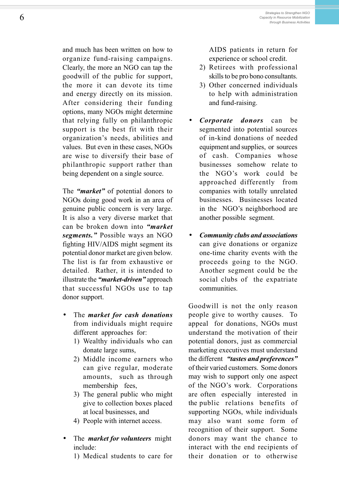and much has been written on how to organize fund-raising campaigns. Clearly, the more an NGO can tap the goodwill of the public for support, the more it can devote its time and energy directly on its mission. After considering their funding options, many NGOs might determine that relying fully on philanthropic support is the best fit with their organization's needs, abilities and values. But even in these cases, NGOs are wise to diversify their base of philanthropic support rather than being dependent on a single source.

The "*market*" of potential donors to NGOs doing good work in an area of genuine public concern is very large. It is also a very diverse market that can be broken down into "*market* segments." Possible ways an NGO fighting HIV/AIDS might segment its potential donor market are given below. The list is far from exhaustive or detailed. Rather, it is intended to illustrate the "*market-driven*" approach that successful NGOs use to tap donor support.

- The *market for cash donations* from individuals might require different approaches for:
	- 1) Wealthy individuals who can donate large sums,
	- 2) Middle income earners who can give regular, moderate amounts, such as through membership fees,
	- 3) The general public who might give to collection boxes placed at local businesses, and
	- 4) People with internet access.
- The *market for volunteers* might include:

1) Medical students to care for

AIDS patients in return for experience or school credit.

- 2) Retirees with professional skills to be pro bono consultants.
- 3) Other concerned individuals to help with administration and fund-raising.
- Corporate donors can be segmented into potential sources of in-kind donations of needed equipment and supplies, or sources of cash. Companies whose businesses somehow relate to the NGO's work could be approached differently from companies with totally unrelated businesses. Businesses located in the NGO's neighborhood are another possible segment.
- Community clubs and associations can give donations or organize one-time charity events with the proceeds going to the NGO. Another segment could be the social clubs of the expatriate communities.

Goodwill is not the only reason people give to worthy causes. To appeal for donations, NGOs must understand the motivation of their potential donors, just as commercial marketing executives must understand the different "tastes and preferences" of their varied customers. Some donors may wish to support only one aspect of the NGO's work. Corporations are often especially interested in the public relations benefits of supporting NGOs, while individuals may also want some form of recognition of their support. Some donors may want the chance to interact with the end recipients of their donation or to otherwise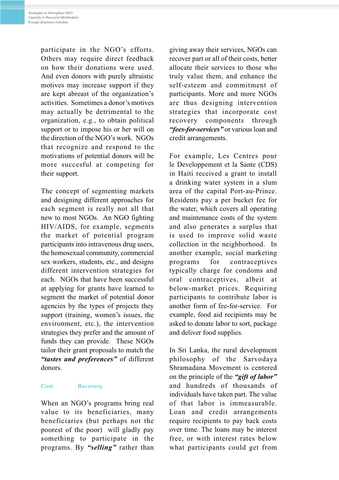participate in the NGO's efforts. Others may require direct feedback on how their donations were used. And even donors with purely altruistic motives may increase support if they are kept abreast of the organization's activities. Sometimes a donor's motives may actually be detrimental to the organization, e.g., to obtain political support or to impose his or her will on the direction of the NGO's work. NGOs that recognize and respond to the motivations of potential donors will be more succesful at competing for their support.

The concept of segmenting markets and designing different approaches for each segment is really not all that new to most NGOs. An NGO fighting HIV/AIDS, for example, segments the market of potential program participants into intravenous drug users, the homosexual community, commercial sex workers, students, etc., and designs different intervention strategies for each. NGOs that have been successful at applying for grants have learned to segment the market of potential donor agencies by the types of projects they support (training, women's issues, the environment, etc.), the intervention strategies they prefer and the amount of funds they can provide. These NGOs tailor their grant proposals to match the "tastes and preferences" of different donors.

#### Cost Recovery

When an NGO's programs bring real value to its beneficiaries, many beneficiaries (but perhaps not the poorest of the poor) will gladly pay something to participate in the programs. By "selling" rather than giving away their services, NGOs can recover part or all of their costs, better allocate their services to those who truly value them, and enhance the self-esteem and commitment of participants. More and more NGOs are thus designing intervention strategies that incorporate cost recovery components through "fees-for-services" or various loan and credit arrangements.

For example, Les Centres pour le Developpement et la Sante (CDS) in Haiti received a grant to install a drinking water system in a slum area of the capital Port-au-Prince. Residents pay a per bucket fee for the water, which covers all operating and maintenance costs of the system and also generates a surplus that is used to improve solid waste collection in the neighborhood. In another example, social marketing programs for contraceptives typically charge for condoms and oral contraceptives, albeit at below-market prices. Requiring participants to contribute labor is another form of fee-for-service. For example, food aid recipients may be asked to donate labor to sort, package and deliver food supplies.

In Sri Lanka, the rural development philosophy of the Sarvodaya Shramadana Movement is centered on the principle of the "gift of labor" and hundreds of thousands of individuals have taken part. The value of that labor is immeasurable. Loan and credit arrangements require recipients to pay back costs over time. The loans may be interest free, or with interest rates below what participants could get from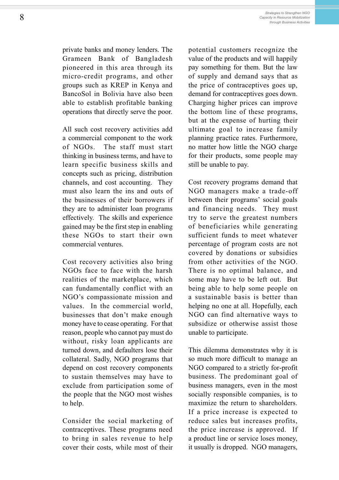private banks and money lenders. The Grameen Bank of Bangladesh pioneered in this area through its micro-credit programs, and other groups such as KREP in Kenya and BancoSol in Bolivia have also been able to establish profitable banking operations that directly serve the poor.

All such cost recovery activities add a commercial component to the work of NGOs. The staff must start thinking in business terms, and have to learn specific business skills and concepts such as pricing, distribution channels, and cost accounting. They must also learn the ins and outs of the businesses of their borrowers if they are to administer loan programs effectively. The skills and experience gained may be the first step in enabling these NGOs to start their own commercial ventures.

Cost recovery activities also bring NGOs face to face with the harsh realities of the marketplace, which can fundamentally conflict with an NGO's compassionate mission and values. In the commercial world, businesses that don't make enough money have to cease operating. For that reason, people who cannot pay must do without, risky loan applicants are turned down, and defaulters lose their collateral. Sadly, NGO programs that depend on cost recovery components to sustain themselves may have to exclude from participation some of the people that the NGO most wishes to help.

Consider the social marketing of contraceptives. These programs need to bring in sales revenue to help cover their costs, while most of their

potential customers recognize the value of the products and will happily pay something for them. But the law of supply and demand says that as the price of contraceptives goes up, demand for contraceptives goes down. Charging higher prices can improve the bottom line of these programs, but at the expense of hurting their ultimate goal to increase family planning practice rates. Furthermore, no matter how little the NGO charge for their products, some people may still be unable to pay.

Cost recovery programs demand that NGO managers make a trade-off between their programs' social goals and financing needs. They must try to serve the greatest numbers of beneficiaries while generating sufficient funds to meet whatever percentage of program costs are not covered by donations or subsidies from other activities of the NGO. There is no optimal balance, and some may have to be left out. But being able to help some people on a sustainable basis is better than helping no one at all. Hopefully, each NGO can find alternative ways to subsidize or otherwise assist those unable to participate.

This dilemma demonstrates why it is so much more difficult to manage an NGO compared to a strictly for-profit business. The predominant goal of business managers, even in the most socially responsible companies, is to maximize the return to shareholders. If a price increase is expected to reduce sales but increases profits, the price increase is approved. If a product line or service loses money, it usually is dropped. NGO managers,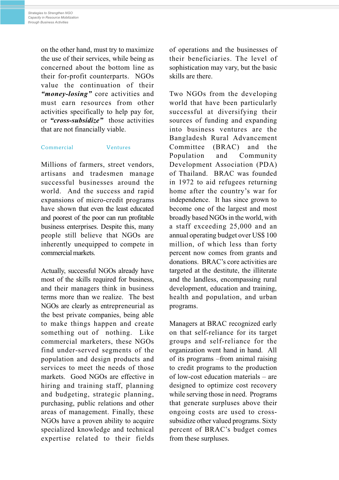on the other hand, must try to maximize the use of their services, while being as concerned about the bottom line as their for-profit counterparts. NGOs value the continuation of their "*money-losing*" core activities and must earn resources from other activities specifically to help pay for, or "cross-subsidize" those activities that are not financially viable.

#### Commercial Ventures

Millions of farmers, street vendors, artisans and tradesmen manage successful businesses around the world. And the success and rapid expansions of micro-credit programs have shown that even the least educated and poorest of the poor can run profitable business enterprises. Despite this, many people still believe that NGOs are inherently unequipped to compete in commercial markets.

Actually, successful NGOs already have most of the skills required for business, and their managers think in business terms more than we realize. The best NGOs are clearly as entrepreneurial as the best private companies, being able to make things happen and create something out of nothing. Like commercial marketers, these NGOs find under-served segments of the population and design products and services to meet the needs of those markets. Good NGOs are effective in hiring and training staff, planning and budgeting, strategic planning, purchasing, public relations and other areas of management. Finally, these NGOs have a proven ability to acquire specialized knowledge and technical expertise related to their fields of operations and the businesses of their beneficiaries. The level of sophistication may vary, but the basic skills are there.

Two NGOs from the developing world that have been particularly successful at diversifying their sources of funding and expanding into business ventures are the Bangladesh Rural Advancement Committee (BRAC) and the Population and Community Development Association (PDA) of Thailand. BRAC was founded in 1972 to aid refugees returning home after the country's war for independence. It has since grown to become one of the largest and most broadly based NGOs in the world, with a staff exceeding 25,000 and an annual operating budget over US\$ 100 million, of which less than forty percent now comes from grants and donations. BRAC's core activities are targeted at the destitute, the illiterate and the landless, encompassing rural development, education and training, health and population, and urban programs.

Managers at BRAC recognized early on that self-reliance for its target groups and self-reliance for the organization went hand in hand. All of its programs -from animal raising to credit programs to the production of low-cost education materials  $-$  are designed to optimize cost recovery while serving those in need. Programs that generate surpluses above their ongoing costs are used to crosssubsidize other valued programs. Sixty percent of BRAC's budget comes from these surpluses.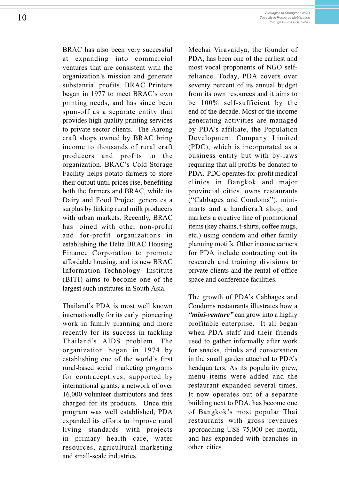BRAC has also been very successful at expanding into commercial ventures that are consistent with the organization's mission and generate substantial profits. BRAC Printers began in 1977 to meet BRAC's own printing needs, and has since been spun-off as a separate entity that provides high quality printing services to private sector clients. The Aarong craft shops owned by BRAC bring income to thousands of rural craft producers and profits to the organization. BRAC's Cold Storage Facility helps potato farmers to store their output until prices rise, benefiting both the farmers and BRAC, while its Dairy and Food Project generates a surplus by linking rural milk producers with urban markets. Recently, BRAC has joined with other non-profit and for-profit organizations in establishing the Delta BRAC Housing Finance Corporation to promote affordable housing, and its new BRAC Information Technology Institute (BITI) aims to become one of the largest such institutes in South Asia.

Thailand's PDA is most well known internationally for its early pioneering work in family planning and more recently for its success in tackling Thailand's AIDS problem. The organization began in 1974 by establishing one of the world's first rural-based social marketing programs for contraceptives, supported by international grants, a network of over 16,000 volunteer distributors and fees charged for its products. Once this program was well established, PDA expanded its efforts to improve rural living standards with projects in primary health care, water resources, agricultural marketing and small-scale industries.

Mechai Viravaidya, the founder of PDA, has been one of the earliest and most vocal proponents of NGO selfreliance. Today, PDA covers over seventy percent of its annual budget from its own resources and it aims to be 100% self-sufficient by the end of the decade. Most of the income generating activities are managed by PDA's affiliate, the Population Development Company Limited (PDC), which is incorporated as a business entity but with by-laws requiring that all profits be donated to PDA. PDC operates for-profit medical clinics in Bangkok and major provincial cities, owns restaurants ("Cabbages and Condoms"), minimarts and a handicraft shop, and markets a creative line of promotional items (key chains, t-shirts, coffee mugs, etc.) using condom and other family planning motifs. Other income earners for PDA include contracting out its research and training divisions to private clients and the rental of office space and conference facilities.

The growth of PDA's Cabbages and Condoms restaurants illustrates how a "*mini-venture*" can grow into a highly profitable enterprise. It all began when PDA staff and their friends used to gather informally after work for snacks, drinks and conversation in the small garden attached to PDA's headquarters. As its popularity grew, menu items were added and the restaurant expanded several times. It now operates out of a separate building next to PDA, has become one of Bangkok's most popular Thai restaurants with gross revenues approaching US\$ 75,000 per month, and has expanded with branches in other cities.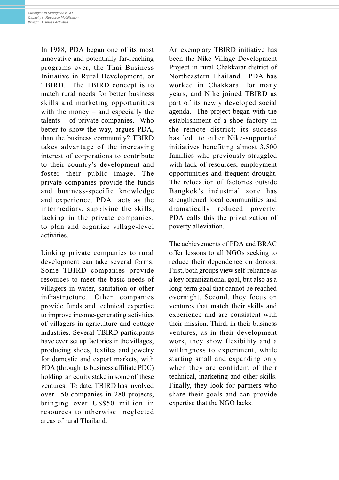In 1988, PDA began one of its most innovative and potentially far-reaching programs ever, the Thai Business Initiative in Rural Development, or TBIRD. The TBIRD concept is to match rural needs for better business skills and marketing opportunities with the money  $-$  and especially the talents  $-$  of private companies. Who better to show the way, argues PDA, than the business community? TBIRD takes advantage of the increasing interest of corporations to contribute to their country's development and foster their public image. The private companies provide the funds and business-specific knowledge and experience. PDA acts as the intermediary, supplying the skills, lacking in the private companies, to plan and organize village-level activities.

Linking private companies to rural development can take several forms. Some TBIRD companies provide resources to meet the basic needs of villagers in water, sanitation or other infrastructure. Other companies provide funds and technical expertise to improve income-generating activities of villagers in agriculture and cottage industries. Several TBIRD participants have even set up factories in the villages, producing shoes, textiles and jewelry for domestic and export markets, with PDA (through its business affiliate PDC) holding an equity stake in some of these ventures. To date, TBIRD has involved over 150 companies in 280 projects, bringing over US\$50 million in resources to otherwise neglected areas of rural Thailand.

An exemplary TBIRD initiative has been the Nike Village Development Project in rural Chakkarat district of Northeastern Thailand. PDA has worked in Chakkarat for many years, and Nike joined TBIRD as part of its newly developed social agenda. The project began with the establishment of a shoe factory in the remote district; its success has led to other Nike-supported initiatives benefiting almost 3,500 families who previously struggled with lack of resources, employment opportunities and frequent drought. The relocation of factories outside Bangkok's industrial zone has strengthened local communities and dramatically reduced poverty. PDA calls this the privatization of poverty alleviation.

The achievements of PDA and BRAC offer lessons to all NGOs seeking to reduce their dependence on donors. First, both groups view self-reliance as a key organizational goal, but also as a long-term goal that cannot be reached overnight. Second, they focus on ventures that match their skills and experience and are consistent with their mission. Third, in their business ventures, as in their development work, they show flexibility and a willingness to experiment, while starting small and expanding only when they are confident of their technical, marketing and other skills. Finally, they look for partners who share their goals and can provide expertise that the NGO lacks.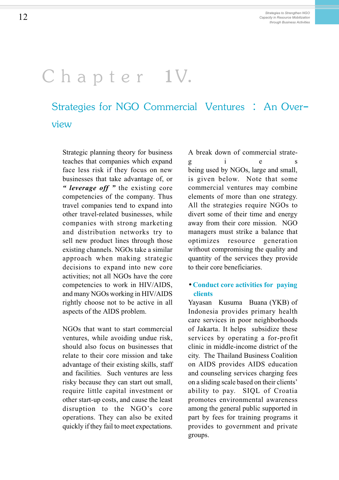### Chapter 1V.

### Strategies for NGO Commercial Ventures : An Overview

Strategic planning theory for business teaches that companies which expand face less risk if they focus on new businesses that take advantage of, or " leverage off  $"$  the existing core competencies of the company. Thus travel companies tend to expand into other travel-related businesses, while companies with strong marketing and distribution networks try to sell new product lines through those existing channels. NGOs take a similar approach when making strategic decisions to expand into new core activities; not all NGOs have the core competencies to work in HIV/AIDS, and many NGOs working in HIV/AIDS rightly choose not to be active in all aspects of the AIDS problem.

NGOs that want to start commercial ventures, while avoiding undue risk, should also focus on businesses that relate to their core mission and take advantage of their existing skills, staff and facilities. Such ventures are less risky because they can start out small, require little capital investment or other start-up costs, and cause the least disruption to the NGO's core operations. They can also be exited quickly if they fail to meet expectations. A break down of commercial strateg i e s being used by NGOs, large and small, is given below. Note that some commercial ventures may combine elements of more than one strategy. All the strategies require NGOs to divert some of their time and energy away from their core mission. NGO managers must strike a balance that optimizes resource generation without compromising the quality and quantity of the services they provide to their core beneficiaries.

### • Conduct core activities for paying clients

Yayasan Kusuma Buana (YKB) of Indonesia provides primary health care services in poor neighborhoods of Jakarta. It helps subsidize these services by operating a for-profit clinic in middle-income district of the city. The Thailand Business Coalition on AIDS provides AIDS education and counseling services charging fees on a sliding scale based on their clients ability to pay. SIQL of Croatia promotes environmental awareness among the general public supported in part by fees for training programs it provides to government and private groups.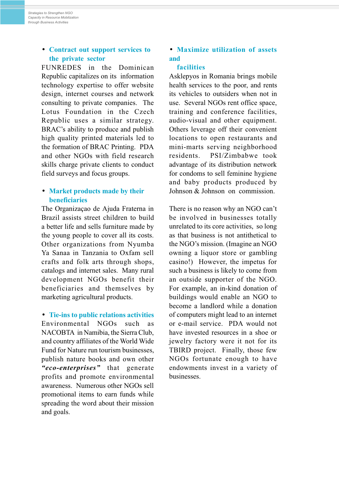### • Contract out support services to the private sector

FUNREDES in the Dominican Republic capitalizes on its information technology expertise to offer website design, internet courses and network consulting to private companies. The Lotus Foundation in the Czech Republic uses a similar strategy. BRAC's ability to produce and publish high quality printed materials led to the formation of BRAC Printing. PDA and other NGOs with field research skills charge private clients to conduct field surveys and focus groups.

### • Market products made by their beneficiaries

The Organizaçao de Ajuda Fraterna in Brazil assists street children to build a better life and sells furniture made by the young people to cover all its costs. Other organizations from Nyumba Ya Sanaa in Tanzania to Oxfam sell crafts and folk arts through shops, catalogs and internet sales. Many rural development NGOs benefit their beneficiaries and themselves by marketing agricultural products.

• Tie-ins to public relations activities Environmental NGOs such as NACOBTA in Namibia, the Sierra Club, and country affiliates of the World Wide Fund for Nature run tourism businesses, publish nature books and own other "eco-enterprises" that generate profits and promote environmental awareness. Numerous other NGOs sell promotional items to earn funds while spreading the word about their mission and goals.

### • Maximize utilization of assets and

#### facilities

Asklepyos in Romania brings mobile health services to the poor, and rents its vehicles to outsiders when not in use. Several NGOs rent office space, training and conference facilities, audio-visual and other equipment. Others leverage off their convenient locations to open restaurants and mini-marts serving neighborhood residents. PSI/Zimbabwe took advantage of its distribution network for condoms to sell feminine hygiene and baby products produced by Johnson & Johnson on commission.

There is no reason why an NGO can't be involved in businesses totally unrelated to its core activities, so long as that business is not antithetical to the NGO's mission. (Imagine an NGO owning a liquor store or gambling casino!) However, the impetus for such a business is likely to come from an outside supporter of the NGO. For example, an in-kind donation of buildings would enable an NGO to become a landlord while a donation of computers might lead to an internet or e-mail service. PDA would not have invested resources in a shoe or jewelry factory were it not for its TBIRD project. Finally, those few NGOs fortunate enough to have endowments invest in a variety of businesses.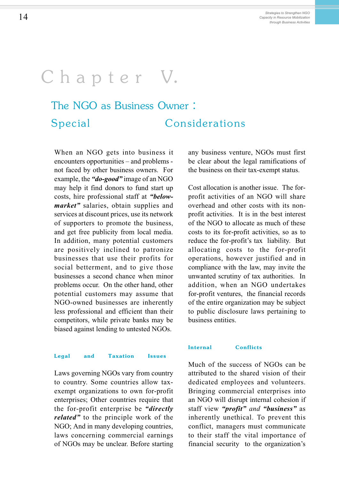## Chapter V.

### The NGO as Business Owner : Special Considerations

When an NGO gets into business it encounters opportunities  $-$  and problems  $$ not faced by other business owners. For example, the " $do\text{-}good$ " image of an NGO may help it find donors to fund start up costs, hire professional staff at "below*market*" salaries, obtain supplies and services at discount prices, use its network of supporters to promote the business, and get free publicity from local media. In addition, many potential customers are positively inclined to patronize businesses that use their profits for social betterment, and to give those businesses a second chance when minor problems occur. On the other hand, other potential customers may assume that NGO-owned businesses are inherently less professional and efficient than their competitors, while private banks may be biased against lending to untested NGOs.

#### Legal and Taxation Issues

Laws governing NGOs vary from country to country. Some countries allow taxexempt organizations to own for-profit enterprises; Other countries require that the for-profit enterprise be "directly" *related*" to the principle work of the NGO; And in many developing countries, laws concerning commercial earnings of NGOs may be unclear. Before starting

any business venture, NGOs must first be clear about the legal ramifications of the business on their tax-exempt status.

Cost allocation is another issue. The forprofit activities of an NGO will share overhead and other costs with its nonprofit activities. It is in the best interest of the NGO to allocate as much of these costs to its for-profit activities, so as to reduce the for-profit's tax liability. But allocating costs to the for-profit operations, however justified and in compliance with the law, may invite the unwanted scrutiny of tax authorities. In addition, when an NGO undertakes for-profit ventures, the financial records of the entire organization may be subject to public disclosure laws pertaining to business entities.

#### Internal Conflicts

Much of the success of NGOs can be attributed to the shared vision of their dedicated employees and volunteers. Bringing commercial enterprises into an NGO will disrupt internal cohesion if staff view "*profit*" and "**business**" as inherently unethical. To prevent this conflict, managers must communicate to their staff the vital importance of financial security to the organization's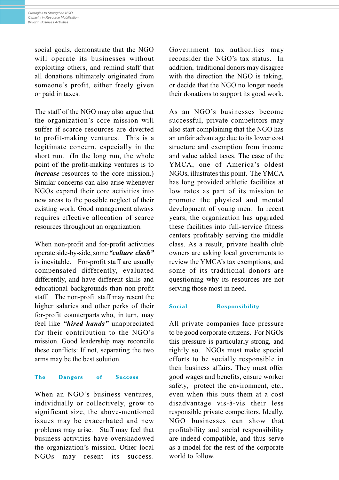social goals, demonstrate that the NGO will operate its businesses without exploiting others, and remind staff that all donations ultimately originated from someone's profit, either freely given or paid in taxes.

The staff of the NGO may also argue that the organization's core mission will suffer if scarce resources are diverted to profit-making ventures. This is a legitimate concern, especially in the short run. (In the long run, the whole point of the profit-making ventures is to *increase* resources to the core mission.) Similar concerns can also arise whenever NGOs expand their core activities into new areas to the possible neglect of their existing work. Good management always requires effective allocation of scarce resources throughout an organization.

When non-profit and for-profit activities operate side-by-side, some "culture clash" is inevitable. For-profit staff are usually compensated differently, evaluated differently, and have different skills and educational backgrounds than non-profit staff. The non-profit staff may resent the higher salaries and other perks of their for-profit counterparts who, in turn, may feel like "hired hands" unappreciated for their contribution to the  $NGO's$ mission. Good leadership may reconcile these conflicts: If not, separating the two arms may be the best solution.

#### The Dangers of Success

When an NGO's business ventures, individually or collectively, grow to significant size, the above-mentioned issues may be exacerbated and new problems may arise. Staff may feel that business activities have overshadowed the organization's mission. Other local NGOs may resent its success.

Government tax authorities may reconsider the NGO's tax status. In addition, traditional donors may disagree with the direction the NGO is taking, or decide that the NGO no longer needs their donations to support its good work.

As an NGO's businesses become successful, private competitors may also start complaining that the NGO has an unfair advantage due to its lower cost structure and exemption from income and value added taxes. The case of the YMCA, one of America's oldest NGOs, illustrates this point. The YMCA has long provided athletic facilities at low rates as part of its mission to promote the physical and mental development of young men. In recent years, the organization has upgraded these facilities into full-service fitness centers profitably serving the middle class. As a result, private health club owners are asking local governments to review the YMCA's tax exemptions, and some of its traditional donors are questioning why its resources are not serving those most in need.

#### Social Responsibility

All private companies face pressure to be good corporate citizens. For NGOs this pressure is particularly strong, and rightly so. NGOs must make special efforts to be socially responsible in their business affairs. They must offer good wages and benefits, ensure worker safety, protect the environment, etc., even when this puts them at a cost disadvantage vis-à-vis their less responsible private competitors. Ideally, NGO businesses can show that profitability and social responsibility are indeed compatible, and thus serve as a model for the rest of the corporate world to follow.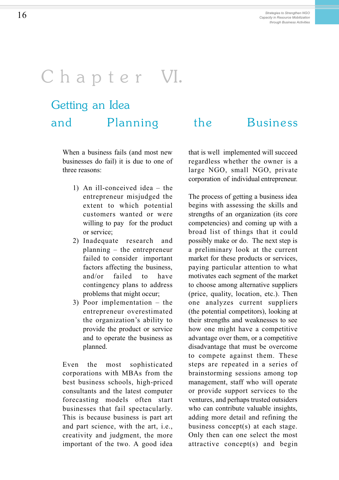## Chapter VI.

### Getting an Idea and Planning the Business

When a business fails (and most new businesses do fail) it is due to one of three reasons:

- 1) An ill-conceived idea  $-$  the entrepreneur misjudged the extent to which potential customers wanted or were willing to pay for the product or service;
- 2) Inadequate research and planning  $-$  the entrepreneur failed to consider important factors affecting the business, and/or failed to have contingency plans to address problems that might occur;
- 3) Poor implementation  $-$  the entrepreneur overestimated the organization's ability to provide the product or service and to operate the business as planned.

Even the most sophisticated corporations with MBAs from the best business schools, high-priced consultants and the latest computer forecasting models often start businesses that fail spectacularly. This is because business is part art and part science, with the art, i.e., creativity and judgment, the more important of the two. A good idea

that is well implemented will succeed regardless whether the owner is a large NGO, small NGO, private corporation of individual entrepreneur.

The process of getting a business idea begins with assessing the skills and strengths of an organization (its core competencies) and coming up with a broad list of things that it could possibly make or do. The next step is a preliminary look at the current market for these products or services, paying particular attention to what motivates each segment of the market to choose among alternative suppliers (price, quality, location, etc.). Then one analyzes current suppliers (the potential competitors), looking at their strengths and weaknesses to see how one might have a competitive advantage over them, or a competitive disadvantage that must be overcome to compete against them. These steps are repeated in a series of brainstorming sessions among top management, staff who will operate or provide support services to the ventures, and perhaps trusted outsiders who can contribute valuable insights, adding more detail and refining the business concept(s) at each stage. Only then can one select the most attractive concept(s) and begin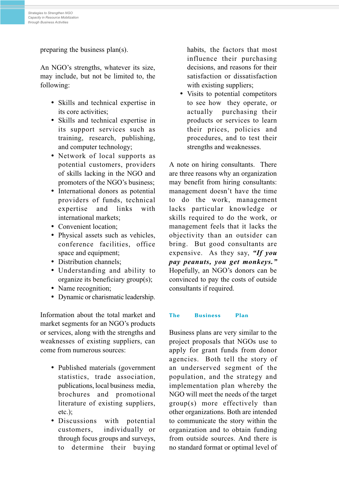preparing the business plan(s).

An NGO's strengths, whatever its size, may include, but not be limited to, the following:

- Skills and technical expertise in its core activities;
- Skills and technical expertise in its support services such as training, research, publishing, and computer technology;
- Network of local supports as potential customers, providers of skills lacking in the NGO and promoters of the NGO's business;
- International donors as potential providers of funds, technical expertise and links with international markets;
- Convenient location:
- Physical assets such as vehicles, conference facilities, office space and equipment;
- Distribution channels;
- Understanding and ability to organize its beneficiary group(s);
- Name recognition;
- Dynamic or charismatic leadership.

Information about the total market and market segments for an NGO's products or services, along with the strengths and weaknesses of existing suppliers, can come from numerous sources:

- Published materials (government) statistics, trade association, publications, local business media, brochures and promotional literature of existing suppliers, etc.);
- Discussions with potential customers, individually or through focus groups and surveys, to determine their buying

habits, the factors that most influence their purchasing decisions, and reasons for their satisfaction or dissatisfaction with existing suppliers:

• Visits to potential competitors to see how they operate, or actually purchasing their products or services to learn their prices, policies and procedures, and to test their strengths and weaknesses.

A note on hiring consultants. There are three reasons why an organization may benefit from hiring consultants: management doesn't have the time to do the work, management lacks particular knowledge or skills required to do the work, or management feels that it lacks the objectivity than an outsider can bring. But good consultants are expensive. As they say, "If you pay peanuts, you get monkeys. Hopefully, an NGO's donors can be convinced to pay the costs of outside consultants if required.

#### The Business Plan

Business plans are very similar to the project proposals that NGOs use to apply for grant funds from donor agencies. Both tell the story of an underserved segment of the population, and the strategy and implementation plan whereby the NGO will meet the needs of the target group(s) more effectively than other organizations. Both are intended to communicate the story within the organization and to obtain funding from outside sources. And there is no standard format or optimal level of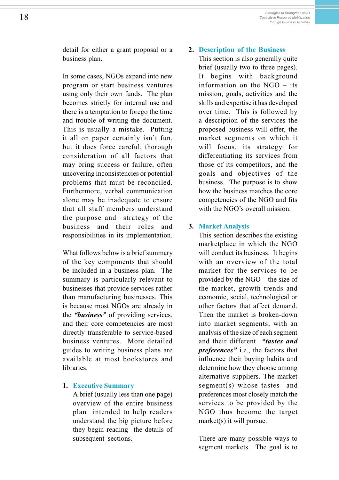detail for either a grant proposal or a business plan.

In some cases, NGOs expand into new program or start business ventures using only their own funds. The plan becomes strictly for internal use and there is a temptation to forego the time and trouble of writing the document. This is usually a mistake. Putting it all on paper certainly isn't fun, but it does force careful, thorough consideration of all factors that may bring success or failure, often uncovering inconsistencies or potential problems that must be reconciled. Furthermore, verbal communication alone may be inadequate to ensure that all staff members understand the purpose and strategy of the business and their roles and responsibilities in its implementation.

What follows below is a brief summary of the key components that should be included in a business plan. The summary is particularly relevant to businesses that provide services rather than manufacturing businesses. This is because most NGOs are already in the "business" of providing services, and their core competencies are most directly transferable to service-based business ventures. More detailed guides to writing business plans are available at most bookstores and libraries.

#### 1. Executive Summary

A brief (usually less than one page) overview of the entire business plan intended to help readers understand the big picture before they begin reading the details of subsequent sections.

### 2. Description of the Business

This section is also generally quite brief (usually two to three pages). It begins with background information on the  $NGO - its$ mission, goals, activities and the skills and expertise it has developed over time. This is followed by a description of the services the proposed business will offer, the market segments on which it will focus, its strategy for differentiating its services from those of its competitors, and the goals and objectives of the business. The purpose is to show how the business matches the core competencies of the NGO and fits with the NGO's overall mission.

#### 3. Market Analysis

This section describes the existing marketplace in which the NGO will conduct its business. It begins with an overview of the total market for the services to be provided by the  $NGO$  – the size of the market, growth trends and economic, social, technological or other factors that affect demand. Then the market is broken-down into market segments, with an analysis of the size of each segment and their different "tastes and **preferences**" i.e., the factors that influence their buying habits and determine how they choose among alternative suppliers. The market segment(s) whose tastes and preferences most closely match the services to be provided by the NGO thus become the target market(s) it will pursue.

There are many possible ways to segment markets. The goal is to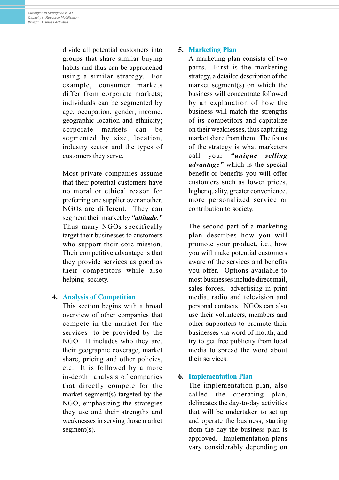divide all potential customers into groups that share similar buying habits and thus can be approached using a similar strategy. For example, consumer markets differ from corporate markets; individuals can be segmented by age, occupation, gender, income, geographic location and ethnicity; corporate markets can be segmented by size, location, industry sector and the types of customers they serve.

Most private companies assume that their potential customers have no moral or ethical reason for preferring one supplier over another. NGOs are different. They can segment their market by "attitude." Thus many NGOs specifically target their businesses to customers who support their core mission. Their competitive advantage is that they provide services as good as their competitors while also helping society.

### 4. Analysis of Competition

This section begins with a broad overview of other companies that compete in the market for the services to be provided by the NGO. It includes who they are, their geographic coverage, market share, pricing and other policies, etc. It is followed by a more in-depth analysis of companies that directly compete for the market segment(s) targeted by the NGO, emphasizing the strategies they use and their strengths and weaknesses in serving those market segment(s).

### 5. Marketing Plan

A marketing plan consists of two parts. First is the marketing strategy, a detailed description of the market segment(s) on which the business will concentrate followed by an explanation of how the business will match the strengths of its competitors and capitalize on their weaknesses, thus capturing market share from them. The focus of the strategy is what marketers call your "unique selling advantage" which is the special benefit or benefits you will offer customers such as lower prices, higher quality, greater convenience, more personalized service or contribution to society.

The second part of a marketing plan describes how you will promote your product, i.e., how you will make potential customers aware of the services and benefits you offer. Options available to most businesses include direct mail, sales forces, advertising in print media, radio and television and personal contacts. NGOs can also use their volunteers, members and other supporters to promote their businesses via word of mouth, and try to get free publicity from local media to spread the word about their services.

### 6. Implementation Plan

The implementation plan, also called the operating plan, delineates the day-to-day activities that will be undertaken to set up and operate the business, starting from the day the business plan is approved. Implementation plans vary considerably depending on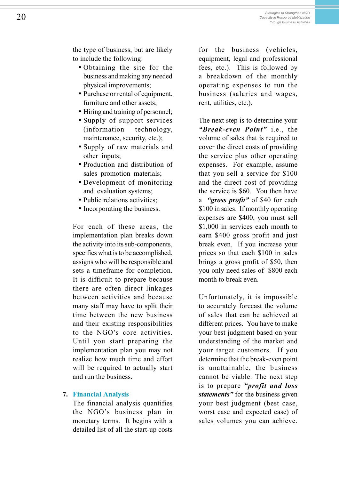- Obtaining the site for the business and making any needed physical improvements;
- Purchase or rental of equipment, furniture and other assets;
- Hiring and training of personnel;
- Supply of support services (information technology, maintenance, security, etc.);
- Supply of raw materials and other inputs;
- Production and distribution of sales promotion materials;
- Development of monitoring and evaluation systems;
- Public relations activities:
- Incorporating the business.

For each of these areas, the implementation plan breaks down the activity into its sub-components, specifies what is to be accomplished, assigns who will be responsible and sets a timeframe for completion. It is difficult to prepare because there are often direct linkages between activities and because many staff may have to split their time between the new business and their existing responsibilities to the NGO's core activities. Until you start preparing the implementation plan you may not realize how much time and effort will be required to actually start and run the business.

### 7. Financial Analysis

The financial analysis quantifies the NGO's business plan in monetary terms. It begins with a detailed list of all the start-up costs

for the business (vehicles, equipment, legal and professional fees, etc.). This is followed by a breakdown of the monthly operating expenses to run the business (salaries and wages, rent, utilities, etc.).

The next step is to determine your "Break-even Point" i.e., the volume of sales that is required to cover the direct costs of providing the service plus other operating expenses. For example, assume that you sell a service for \$100 and the direct cost of providing the service is \$60. You then have a "gross profit" of \$40 for each \$100 in sales. If monthly operating expenses are \$400, you must sell \$1,000 in services each month to earn \$400 gross profit and just break even. If you increase your prices so that each \$100 in sales brings a gross profit of \$50, then you only need sales of \$800 each month to break even.

Unfortunately, it is impossible to accurately forecast the volume of sales that can be achieved at different prices. You have to make your best judgment based on your understanding of the market and your target customers. If you determine that the break-even point is unattainable, the business cannot be viable. The next step is to prepare "*profit and loss* statements" for the business given your best judgment (best case, worst case and expected case) of sales volumes you can achieve.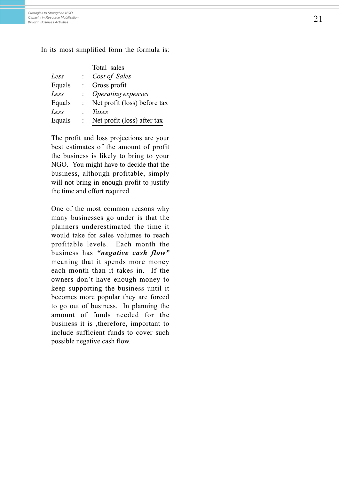In its most simplified form the formula is:

| Total sales                  |
|------------------------------|
| Cost of Sales                |
| Gross profit                 |
| Operating expenses           |
| Net profit (loss) before tax |
| Taxes                        |
| Net profit (loss) after tax  |
|                              |

The profit and loss projections are your best estimates of the amount of profit the business is likely to bring to your NGO. You might have to decide that the business, although profitable, simply will not bring in enough profit to justify the time and effort required.

One of the most common reasons why many businesses go under is that the planners underestimated the time it would take for sales volumes to reach profitable levels. Each month the business has "negative cash flow" meaning that it spends more money each month than it takes in. If the owners don't have enough money to keep supporting the business until it becomes more popular they are forced to go out of business. In planning the amount of funds needed for the business it is ,therefore, important to include sufficient funds to cover such possible negative cash flow.